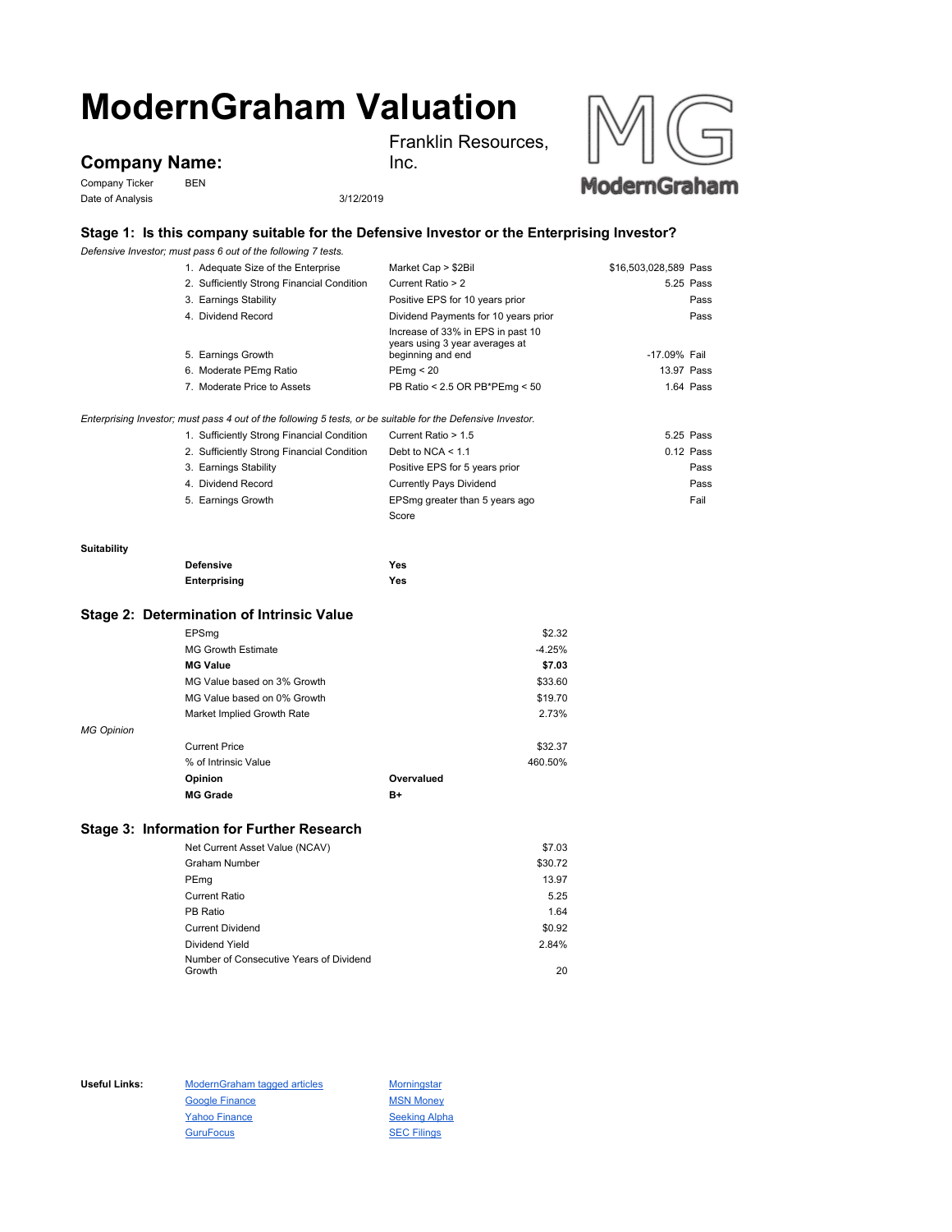# **ModernGraham Valuation**

**Company Name:**

Company Ticker BEN Date of Analysis 3/12/2019

Inc.

Franklin Resources,



## **Stage 1: Is this company suitable for the Defensive Investor or the Enterprising Investor?**

*Defensive Investor; must pass 6 out of the following 7 tests.*

|             | 1. Adequate Size of the Enterprise                                                                          | Market Cap > \$2Bil                                 | \$16,503,028,589 Pass |
|-------------|-------------------------------------------------------------------------------------------------------------|-----------------------------------------------------|-----------------------|
|             | 2. Sufficiently Strong Financial Condition                                                                  | Current Ratio > 2                                   | 5.25 Pass             |
|             | 3. Earnings Stability                                                                                       | Positive EPS for 10 years prior                     | Pass                  |
|             | 4. Dividend Record                                                                                          | Dividend Payments for 10 years prior                | Pass                  |
|             |                                                                                                             | Increase of 33% in EPS in past 10                   |                       |
|             | 5. Earnings Growth                                                                                          | years using 3 year averages at<br>beginning and end | -17.09% Fail          |
|             | 6. Moderate PEmg Ratio                                                                                      | PEmq < 20                                           | 13.97 Pass            |
|             | 7. Moderate Price to Assets                                                                                 | PB Ratio < 2.5 OR PB*PEmg < 50                      | 1.64 Pass             |
|             | Enterprising Investor; must pass 4 out of the following 5 tests, or be suitable for the Defensive Investor. |                                                     |                       |
|             | 1. Sufficiently Strong Financial Condition                                                                  | Current Ratio > 1.5                                 | 5.25 Pass             |
|             | 2. Sufficiently Strong Financial Condition                                                                  | Debt to NCA $<$ 1.1                                 | $0.12$ Pass           |
|             | 3. Earnings Stability                                                                                       | Positive EPS for 5 years prior                      | Pass                  |
|             | 4. Dividend Record                                                                                          | <b>Currently Pays Dividend</b>                      | Pass                  |
|             | 5. Earnings Growth                                                                                          | EPSmg greater than 5 years ago                      | Fail                  |
|             |                                                                                                             | Score                                               |                       |
| Suitability |                                                                                                             |                                                     |                       |
|             | <b>Defensive</b>                                                                                            | <b>Yes</b>                                          |                       |
|             | Enterprising                                                                                                | Yes                                                 |                       |
|             | Stage 2: Determination of Intrinsic Value                                                                   |                                                     |                       |
|             | EPSmg                                                                                                       | \$2.32                                              |                       |
|             | <b>MG Growth Estimate</b>                                                                                   | $-4.25%$                                            |                       |
|             | <b>MG Value</b>                                                                                             | \$7.03                                              |                       |
|             | MG Value based on 3% Growth                                                                                 | \$33.60                                             |                       |

|                   | MG Value based on 0% Growth |            | \$19.70 |
|-------------------|-----------------------------|------------|---------|
|                   | Market Implied Growth Rate  |            | 2.73%   |
| <b>MG Opinion</b> |                             |            |         |
|                   | <b>Current Price</b>        |            | \$32.37 |
|                   | % of Intrinsic Value        |            | 460.50% |
|                   | Opinion                     | Overvalued |         |
|                   | <b>MG Grade</b>             | B+         |         |

### **Stage 3: Information for Further Research**

| Net Current Asset Value (NCAV)          | \$7.03  |
|-----------------------------------------|---------|
| <b>Graham Number</b>                    | \$30.72 |
| PEmg                                    | 13.97   |
| Current Ratio                           | 5.25    |
| PB Ratio                                | 1.64    |
| <b>Current Dividend</b>                 | \$0.92  |
| Dividend Yield                          | 2.84%   |
| Number of Consecutive Years of Dividend |         |
| Growth                                  | 20      |

Useful Links: ModernGraham tagged articles Morningstar Google Finance MSN Money Yahoo Finance Seeking Alpha GuruFocus **SEC Filings**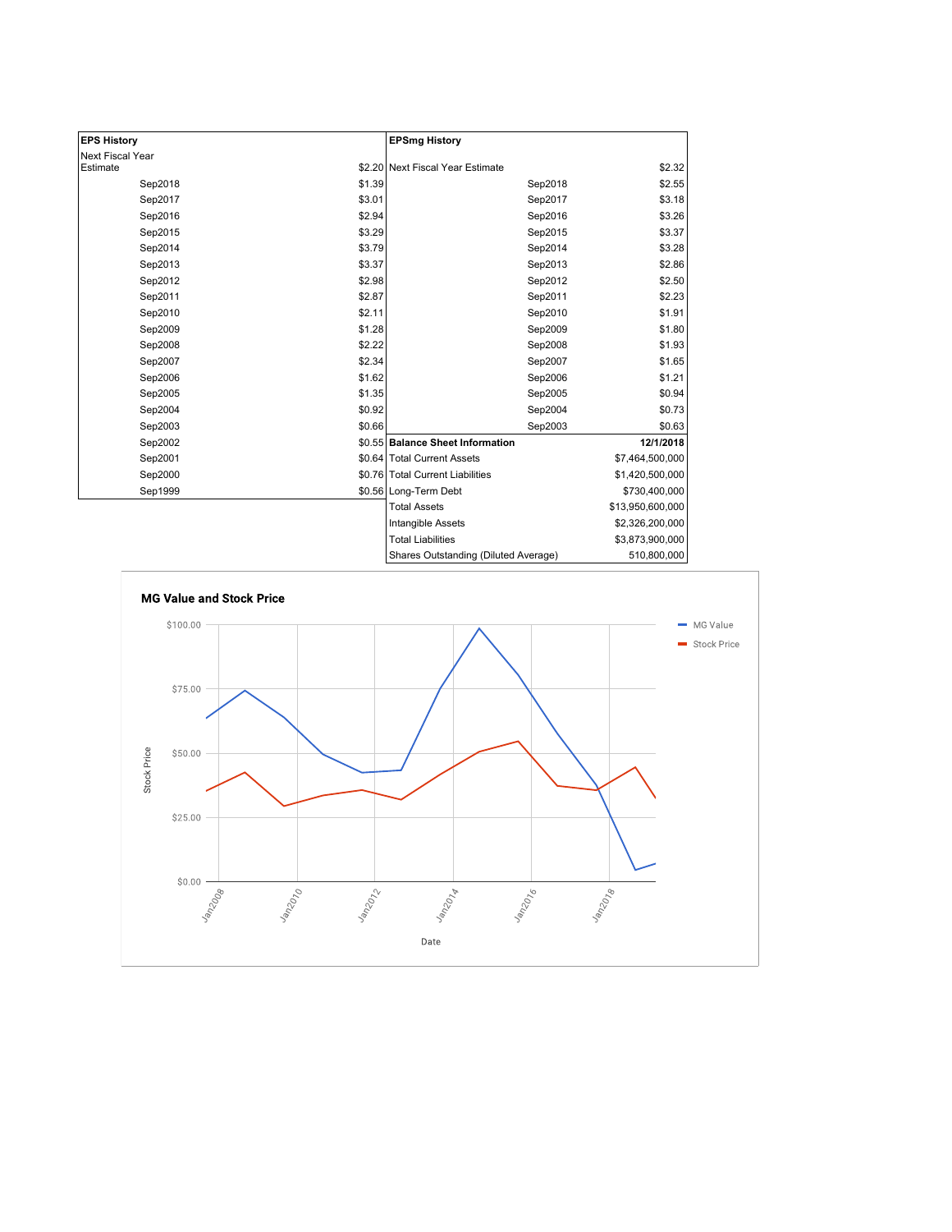| <b>EPS History</b> |        | <b>EPSmg History</b>                 |                  |
|--------------------|--------|--------------------------------------|------------------|
| Next Fiscal Year   |        |                                      |                  |
| Estimate           |        | \$2.20 Next Fiscal Year Estimate     | \$2.32           |
| Sep2018            | \$1.39 | Sep2018                              | \$2.55           |
| Sep2017            | \$3.01 | Sep2017                              | \$3.18           |
| Sep2016            | \$2.94 | Sep2016                              | \$3.26           |
| Sep2015            | \$3.29 | Sep2015                              | \$3.37           |
| Sep2014            | \$3.79 | Sep2014                              | \$3.28           |
| Sep2013            | \$3.37 | Sep2013                              | \$2.86           |
| Sep2012            | \$2.98 | Sep2012                              | \$2.50           |
| Sep2011            | \$2.87 | Sep2011                              | \$2.23           |
| Sep2010            | \$2.11 | Sep2010                              | \$1.91           |
| Sep2009            | \$1.28 | Sep2009                              | \$1.80           |
| Sep2008            | \$2.22 | Sep2008                              | \$1.93           |
| Sep2007            | \$2.34 | Sep2007                              | \$1.65           |
| Sep2006            | \$1.62 | Sep2006                              | \$1.21           |
| Sep2005            | \$1.35 | Sep2005                              | \$0.94           |
| Sep2004            | \$0.92 | Sep2004                              | \$0.73           |
| Sep2003            | \$0.66 | Sep2003                              | \$0.63           |
| Sep2002            |        | \$0.55 Balance Sheet Information     | 12/1/2018        |
| Sep2001            |        | \$0.64 Total Current Assets          | \$7,464,500,000  |
| Sep2000            |        | \$0.76 Total Current Liabilities     | \$1,420,500,000  |
| Sep1999            |        | \$0.56 Long-Term Debt                | \$730,400,000    |
|                    |        | <b>Total Assets</b>                  | \$13,950,600,000 |
|                    |        | <b>Intangible Assets</b>             | \$2,326,200,000  |
|                    |        | <b>Total Liabilities</b>             | \$3,873,900,000  |
|                    |        | Shares Outstanding (Diluted Average) | 510,800,000      |